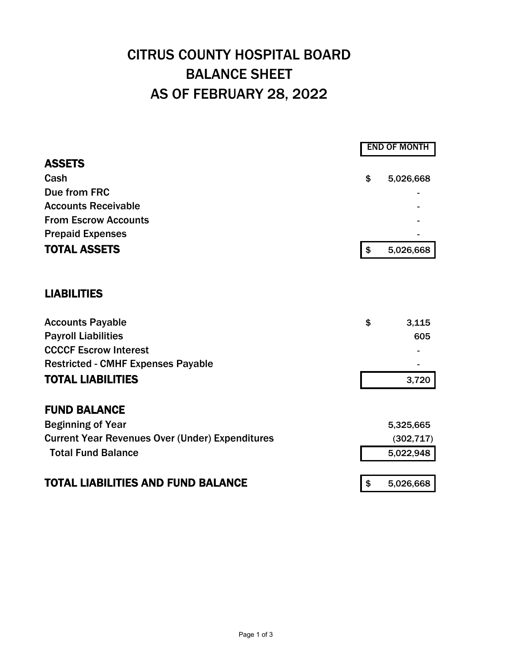## CITRUS COUNTY HOSPITAL BOARD BALANCE SHEET AS OF FEBRUARY 28, 2022

|                                                        | <b>END OF MONTH</b>       |            |  |
|--------------------------------------------------------|---------------------------|------------|--|
| <b>ASSETS</b>                                          |                           |            |  |
| Cash                                                   | \$                        | 5,026,668  |  |
| Due from FRC                                           |                           |            |  |
| <b>Accounts Receivable</b>                             |                           |            |  |
| <b>From Escrow Accounts</b>                            |                           |            |  |
| <b>Prepaid Expenses</b>                                |                           |            |  |
| <b>TOTAL ASSETS</b>                                    | $\boldsymbol{\hat{\phi}}$ | 5,026,668  |  |
| <b>LIABILITIES</b>                                     |                           |            |  |
| <b>Accounts Payable</b>                                | \$                        | 3,115      |  |
| <b>Payroll Liabilities</b>                             |                           | 605        |  |
| <b>CCCCF Escrow Interest</b>                           |                           |            |  |
| <b>Restricted - CMHF Expenses Payable</b>              |                           |            |  |
| <b>TOTAL LIABILITIES</b>                               |                           | 3,720      |  |
| <b>FUND BALANCE</b>                                    |                           |            |  |
| <b>Beginning of Year</b>                               |                           | 5,325,665  |  |
| <b>Current Year Revenues Over (Under) Expenditures</b> |                           | (302, 717) |  |
| <b>Total Fund Balance</b>                              |                           | 5,022,948  |  |
| <b>TOTAL LIABILITIES AND FUND BALANCE</b>              | \$                        | 5,026,668  |  |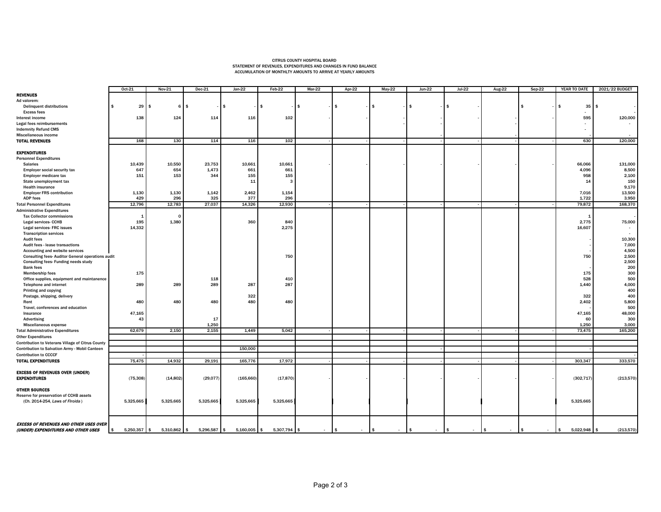## CITRUS COUNTY HOSPITAL BOARD STATEMENT OF REVENUES, EXPENDITURES AND CHANGES IN FUND BALANCE ACCUMULATION OF MONTHLTY AMOUNTS TO ARRIVE AT YEARLY AMOUNTS

|                                                                            | Oct-21               | Nov-21         | $Dec-21$       | $Jan-22$       | Feb-22       | $Mar-22$ | Apr-22                  | $May-22$                     | $Jun-22$                      | $Jul-22$ | <b>Aug-22</b> | $Sep-22$     | YEAR TO DATE      | 2021/22 BUDGET    |
|----------------------------------------------------------------------------|----------------------|----------------|----------------|----------------|--------------|----------|-------------------------|------------------------------|-------------------------------|----------|---------------|--------------|-------------------|-------------------|
| <b>REVENUES</b>                                                            |                      |                |                |                |              |          |                         |                              |                               |          |               |              |                   |                   |
| Ad valorem:                                                                |                      |                |                |                |              |          |                         |                              |                               |          |               |              |                   |                   |
| <b>Delinquent distributions</b>                                            | 29<br>\$             | \$             | $6$ $\sqrt{5}$ | \$             | \$           | <b>s</b> | \$.                     | \$                           | \$                            | -S       |               | - 95         | 35<br>l \$        | l s               |
| <b>Excess fees</b>                                                         |                      |                |                |                |              |          |                         |                              |                               |          |               |              |                   |                   |
| Interest income                                                            | 138                  | 124            | 114            | 116            | 102          |          |                         |                              |                               |          |               |              | 595               | 120,000           |
| Legal fees reimbursements                                                  |                      |                |                |                |              |          |                         |                              |                               |          |               |              |                   |                   |
| <b>Indemnity Refund CMS</b>                                                |                      |                |                |                |              |          |                         |                              |                               |          |               |              |                   |                   |
| Miscellaneous income                                                       |                      |                |                |                |              |          |                         |                              |                               |          |               |              |                   |                   |
| <b>TOTAL REVENUES</b>                                                      | 168                  | 130            | 114            | 116            | 102          |          |                         |                              |                               |          |               |              | 630               | 120,000           |
|                                                                            |                      |                |                |                |              |          |                         |                              |                               |          |               |              |                   |                   |
| <b>EXPENDITURES</b>                                                        |                      |                |                |                |              |          |                         |                              |                               |          |               |              |                   |                   |
| <b>Personnel Expenditures</b>                                              |                      |                |                |                |              |          |                         |                              |                               |          |               |              |                   |                   |
| <b>Salaries</b>                                                            | 10,439               | 10,550         | 23,753         | 10,661         | 10,661       |          |                         |                              |                               |          |               |              | 66,066            | 131,000           |
| <b>Employer social security tax</b>                                        | 647                  | 654            | 1,473          | 661            | 661          |          |                         |                              |                               |          |               |              | 4,096             | 8,500             |
| Employer medicare tax                                                      | 151                  | 153            | 344            | 155            | 155          |          |                         |                              |                               |          |               |              | 958               | 2,100             |
| State unemployment tax                                                     |                      |                |                | 11             | 3            |          |                         |                              |                               |          |               |              | 14                | 150               |
| <b>Health insurance</b>                                                    |                      |                |                |                |              |          |                         |                              |                               |          |               |              |                   | 9,170             |
| <b>Employer FRS contribution</b>                                           | 1,130                | 1,130          | 1,142          | 2,462          | 1,154        |          |                         |                              |                               |          |               |              | 7,016             | 13,500            |
| <b>ADP fees</b>                                                            | 429                  | 296            | 325            | 377            | 296          |          |                         |                              |                               |          |               |              | 1,722             | 3,950             |
| <b>Total Personnel Expenditures</b>                                        | 12,796               | 12,783         | 27,037         | 14,326         | 12,930       |          |                         |                              |                               |          |               |              | 79,872            | 168,370           |
| <b>Administrative Expenditures</b>                                         |                      |                |                |                |              |          |                         |                              |                               |          |               |              |                   |                   |
| <b>Tax Collector commissions</b>                                           | $\mathbf{1}$         | $\mathbf{0}$   |                |                |              |          |                         |                              |                               |          |               |              |                   |                   |
| Legal services- CCHB                                                       | 195                  | 1,380          |                | 360            | 840          |          |                         |                              |                               |          |               |              | 2,775             | 75,000            |
| Legal services- FRC issues                                                 | 14,332               |                |                |                | 2,275        |          |                         |                              |                               |          |               |              | 16,607            |                   |
| <b>Transcription services</b>                                              |                      |                |                |                |              |          |                         |                              |                               |          |               |              |                   |                   |
| <b>Audit fees</b>                                                          |                      |                |                |                |              |          |                         |                              |                               |          |               |              |                   | 10,300            |
| Audit fees - lease transactions                                            |                      |                |                |                |              |          |                         |                              |                               |          |               |              |                   |                   |
|                                                                            |                      |                |                |                |              |          |                         |                              |                               |          |               |              |                   | 7,000             |
| Accounting and website services                                            |                      |                |                |                |              |          |                         |                              |                               |          |               |              |                   | 4,500             |
| <b>Consulting fees-Auditor General operations audit</b>                    |                      |                |                |                | 750          |          |                         |                              |                               |          |               |              | 750               | 2,500             |
| Consulting fees- Funding needs study                                       |                      |                |                |                |              |          |                         |                              |                               |          |               |              |                   | 2,500             |
| <b>Bank fees</b>                                                           |                      |                |                |                |              |          |                         |                              |                               |          |               |              |                   | 200               |
| <b>Membership fees</b>                                                     | 175                  |                |                |                |              |          |                         |                              |                               |          |               |              | 175               | 300               |
| Office supplies, equipment and maintanence                                 |                      |                | 118            |                | 410          |          |                         |                              |                               |          |               |              | 528               | 500               |
| Telephone and internet                                                     | 289                  | 289            | 289            | 287            | 287          |          |                         |                              |                               |          |               |              | 1,440             | 4,000             |
| Printing and copying                                                       |                      |                |                |                |              |          |                         |                              |                               |          |               |              |                   | 400               |
| Postage, shipping, delivery                                                |                      |                |                | 322            |              |          |                         |                              |                               |          |               |              | 322               | 400               |
| Rent                                                                       | 480                  | 480            | 480            | 480            | 480          |          |                         |                              |                               |          |               |              | 2,402             | 5,800             |
| Travel, conferences and education                                          |                      |                |                |                |              |          |                         |                              |                               |          |               |              |                   | 500               |
| Insurance                                                                  | 47,165               |                |                |                |              |          |                         |                              |                               |          |               |              | 47,165            | 48,000            |
| Advertising                                                                | 43                   |                | 17             |                |              |          |                         |                              |                               |          |               |              | 60                | 300               |
| Miscellaneous expense                                                      |                      |                | 1.250          |                |              |          |                         |                              |                               |          |               |              | 1.250             | 3,000             |
| <b>Total Administrative Expenditures</b>                                   | 62,679               | 2,150          | 2,155          | 1,449          | 5,042        |          |                         |                              |                               |          |               |              | 73,475            | 165,200           |
| <b>Other Expenditures</b>                                                  |                      |                |                |                |              |          |                         |                              |                               |          |               |              |                   |                   |
| Contribution to Veterans Village of Citrus County                          |                      |                |                |                |              |          |                         |                              |                               |          |               |              |                   |                   |
| Contribution to Salvation Army - Mobil Canteen                             |                      |                |                | 150,000        |              |          |                         |                              |                               |          |               |              |                   |                   |
| <b>Contribution to CCCCF</b>                                               |                      |                |                |                |              |          |                         |                              |                               |          |               |              |                   |                   |
|                                                                            |                      |                |                |                |              |          |                         |                              |                               |          |               |              |                   |                   |
| <b>TOTAL EXPENDITURES</b>                                                  | 75,475               | 14,932         | 29,191         | 165,776        | 17,972       |          |                         |                              |                               |          |               |              | 303,347           | 333,570           |
| <b>EXCESS OF REVENUES OVER (UNDER)</b>                                     |                      |                |                |                |              |          |                         |                              |                               |          |               |              |                   |                   |
| <b>EXPENDITURES</b>                                                        | (75, 308)            | (14, 802)      | (29, 077)      | (165, 660)     | (17, 870)    |          |                         |                              |                               |          |               |              | (302, 717)        | (213,570)         |
|                                                                            |                      |                |                |                |              |          |                         |                              |                               |          |               |              |                   |                   |
| <b>OTHER SOURCES</b>                                                       |                      |                |                |                |              |          |                         |                              |                               |          |               |              |                   |                   |
|                                                                            |                      |                |                |                |              |          |                         |                              |                               |          |               |              |                   |                   |
| Reserve for preservation of CCHB assets<br>(Ch. 2014-254, Laws of Firoida) |                      |                |                |                |              |          |                         |                              |                               |          |               |              |                   |                   |
|                                                                            | 5,325,665            | 5,325,665      | 5,325,665      | 5,325,665      | 5,325,665    |          |                         |                              |                               |          |               |              | 5,325,665         |                   |
|                                                                            |                      |                |                |                |              |          |                         |                              |                               |          |               |              |                   |                   |
|                                                                            |                      |                |                |                |              |          |                         |                              |                               |          |               |              |                   |                   |
| <b>EXCESS OF REVENUES AND OTHER USES OVER</b>                              |                      |                |                |                |              |          |                         |                              |                               |          |               |              |                   |                   |
| (UNDER) EXPENDITURES AND OTHER USES                                        | $5,250,357$ \$<br>\$ | $5,310,862$ \$ | 5,296,587 \$   | $5,160,005$ \$ | 5,307,794 \$ | $\sim$   | $\frac{1}{2}$<br>$\sim$ | $\sqrt{2}$<br>$\blacksquare$ | $$^{\circ}$<br>$\blacksquare$ | l s      | ls.           | $\mathsf{I}$ | 5,022,948<br>l \$ | (213,570)<br>l \$ |
|                                                                            |                      |                |                |                |              |          |                         |                              |                               | $\sim$   | $\sim$        | $\sim$       |                   |                   |